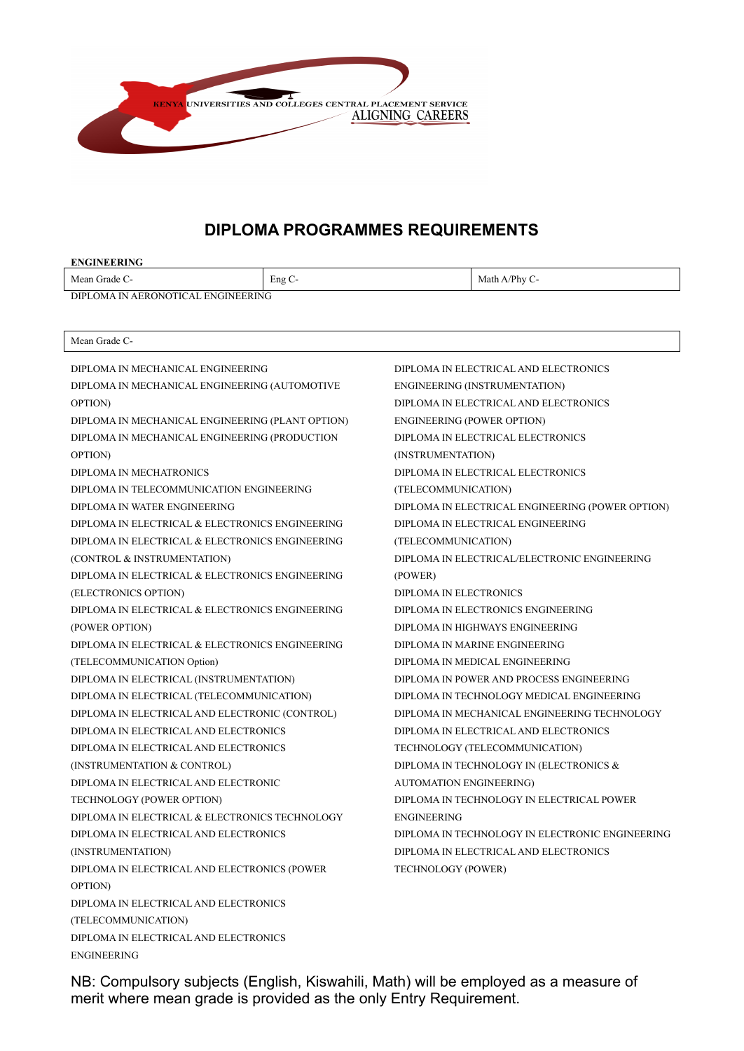

# **DIPLOMA PROGRAMMES REQUIREMENTS**

| <b>ENGINEERING</b>                               |        |                                              |                                                  |  |  |
|--------------------------------------------------|--------|----------------------------------------------|--------------------------------------------------|--|--|
| Mean Grade C-                                    | Eng C- |                                              | Math A/Phy C-                                    |  |  |
| <b>DIPLOMA IN AERONOTICAL ENGINEERING</b>        |        |                                              |                                                  |  |  |
|                                                  |        |                                              |                                                  |  |  |
| Mean Grade C-                                    |        |                                              |                                                  |  |  |
| DIPLOMA IN MECHANICAL ENGINEERING                |        |                                              | DIPLOMA IN ELECTRICAL AND ELECTRONICS            |  |  |
| DIPLOMA IN MECHANICAL ENGINEERING (AUTOMOTIVE    |        |                                              | ENGINEERING (INSTRUMENTATION)                    |  |  |
| OPTION)                                          |        |                                              | DIPLOMA IN ELECTRICAL AND ELECTRONICS            |  |  |
| DIPLOMA IN MECHANICAL ENGINEERING (PLANT OPTION) |        |                                              | <b>ENGINEERING (POWER OPTION)</b>                |  |  |
| DIPLOMA IN MECHANICAL ENGINEERING (PRODUCTION    |        |                                              | DIPLOMA IN ELECTRICAL ELECTRONICS                |  |  |
| OPTION)                                          |        | (INSTRUMENTATION)                            |                                                  |  |  |
| DIPLOMA IN MECHATRONICS                          |        |                                              | DIPLOMA IN ELECTRICAL ELECTRONICS                |  |  |
| DIPLOMA IN TELECOMMUNICATION ENGINEERING         |        | (TELECOMMUNICATION)                          |                                                  |  |  |
| DIPLOMA IN WATER ENGINEERING                     |        |                                              | DIPLOMA IN ELECTRICAL ENGINEERING (POWER OPTION) |  |  |
| DIPLOMA IN ELECTRICAL & ELECTRONICS ENGINEERING  |        |                                              | DIPLOMA IN ELECTRICAL ENGINEERING                |  |  |
| DIPLOMA IN ELECTRICAL & ELECTRONICS ENGINEERING  |        | (TELECOMMUNICATION)                          |                                                  |  |  |
| (CONTROL & INSTRUMENTATION)                      |        | DIPLOMA IN ELECTRICAL/ELECTRONIC ENGINEERING |                                                  |  |  |
| DIPLOMA IN ELECTRICAL & ELECTRONICS ENGINEERING  |        | (POWER)                                      |                                                  |  |  |
| (ELECTRONICS OPTION)                             |        | DIPLOMA IN ELECTRONICS                       |                                                  |  |  |
| DIPLOMA IN ELECTRICAL & ELECTRONICS ENGINEERING  |        | DIPLOMA IN ELECTRONICS ENGINEERING           |                                                  |  |  |
| (POWER OPTION)                                   |        | DIPLOMA IN HIGHWAYS ENGINEERING              |                                                  |  |  |
| DIPLOMA IN ELECTRICAL & ELECTRONICS ENGINEERING  |        | DIPLOMA IN MARINE ENGINEERING                |                                                  |  |  |
| (TELECOMMUNICATION Option)                       |        | DIPLOMA IN MEDICAL ENGINEERING               |                                                  |  |  |
| DIPLOMA IN ELECTRICAL (INSTRUMENTATION)          |        | DIPLOMA IN POWER AND PROCESS ENGINEERING     |                                                  |  |  |
| DIPLOMA IN ELECTRICAL (TELECOMMUNICATION)        |        | DIPLOMA IN TECHNOLOGY MEDICAL ENGINEERING    |                                                  |  |  |
| DIPLOMA IN ELECTRICAL AND ELECTRONIC (CONTROL)   |        | DIPLOMA IN MECHANICAL ENGINEERING TECHNOLOGY |                                                  |  |  |
| DIPLOMA IN ELECTRICAL AND ELECTRONICS            |        |                                              | DIPLOMA IN ELECTRICAL AND ELECTRONICS            |  |  |
| DIPLOMA IN ELECTRICAL AND ELECTRONICS            |        |                                              | TECHNOLOGY (TELECOMMUNICATION)                   |  |  |
| (INSTRUMENTATION & CONTROL)                      |        |                                              | DIPLOMA IN TECHNOLOGY IN (ELECTRONICS &          |  |  |
| DIPLOMA IN ELECTRICAL AND ELECTRONIC             |        | <b>AUTOMATION ENGINEERING)</b>               |                                                  |  |  |
| TECHNOLOGY (POWER OPTION)                        |        | DIPLOMA IN TECHNOLOGY IN ELECTRICAL POWER    |                                                  |  |  |
| DIPLOMA IN ELECTRICAL & ELECTRONICS TECHNOLOGY   |        | <b>ENGINEERING</b>                           |                                                  |  |  |
| DIPLOMA IN ELECTRICAL AND ELECTRONICS            |        |                                              | DIPLOMA IN TECHNOLOGY IN ELECTRONIC ENGINEERING  |  |  |
| (INSTRUMENTATION)                                |        |                                              | DIPLOMA IN ELECTRICAL AND ELECTRONICS            |  |  |
| DIPLOMA IN ELECTRICAL AND ELECTRONICS (POWER     |        | <b>TECHNOLOGY (POWER)</b>                    |                                                  |  |  |
| OPTION)                                          |        |                                              |                                                  |  |  |
| DIPLOMA IN ELECTRICAL AND ELECTRONICS            |        |                                              |                                                  |  |  |
| (TELECOMMUNICATION)                              |        |                                              |                                                  |  |  |
| DIPLOMA IN ELECTRICAL AND ELECTRONICS            |        |                                              |                                                  |  |  |

NB: Compulsory subjects (English, Kiswahili, Math) will be employed as a measure of merit where mean grade is provided as the only Entry Requirement.

ENGINEERING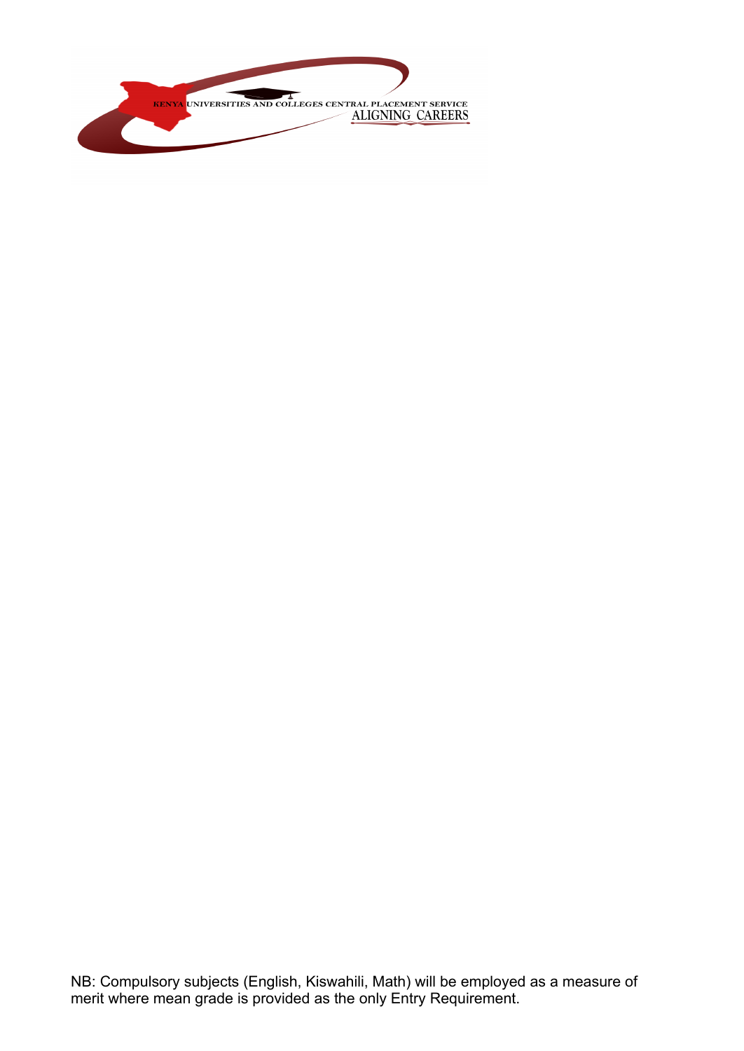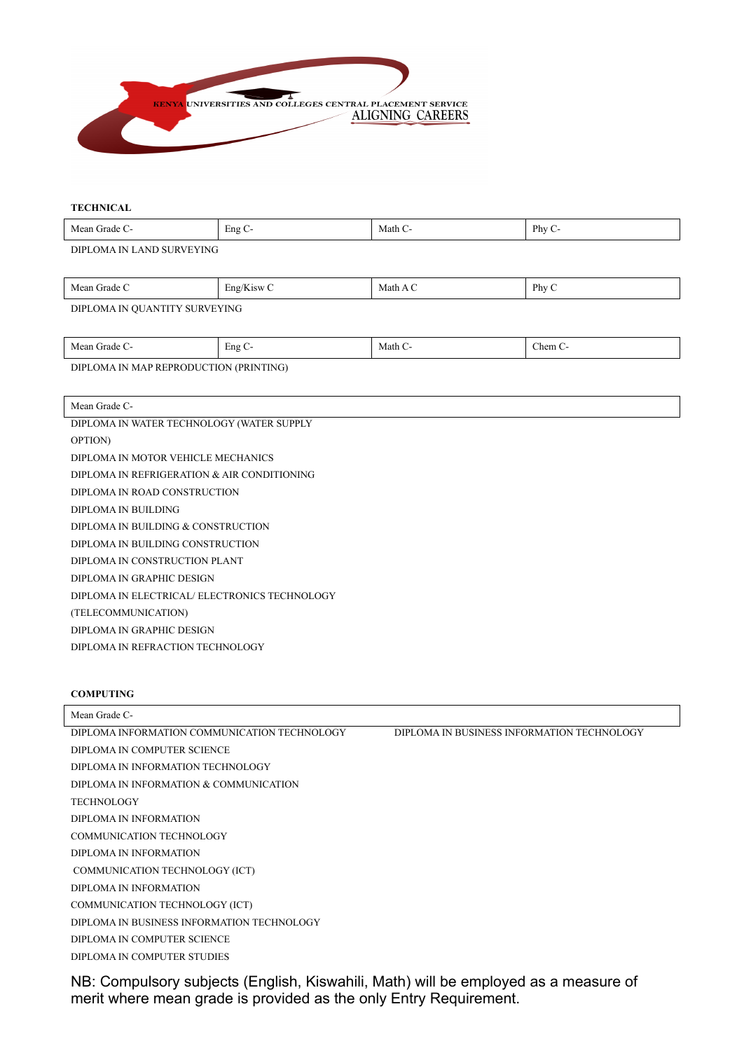

#### **TECHNICAL**

| Меа<br>1211 16<br>. | $\sim$<br>Eng | Matr | Phv<br>.<br>$\overline{\phantom{a}}$ |
|---------------------|---------------|------|--------------------------------------|
|                     |               |      |                                      |

DIPLOMA IN LAND SURVEYING

| Mean<br>-стаае | $-$<br>$1$ CVX<br>E <sub>n</sub> | Math | Phy |
|----------------|----------------------------------|------|-----|
|                |                                  |      |     |

DIPLOMA IN QUANTITY SURVEYING

| Mean Grade<br>.                                             | $\Gamma$ $\sim$<br>Eng | Math ( | Them C<br>_____ |
|-------------------------------------------------------------|------------------------|--------|-----------------|
| <b>DIPL</b><br><b>MAP REPRC</b><br>ODUC<br>OMA<br><b>IN</b> | (PRINTING)<br>TION     |        |                 |

Mean Grade C-DIPLOMA IN WATER TECHNOLOGY (WATER SUPPLY OPTION) DIPLOMA IN MOTOR VEHICLE MECHANICS DIPLOMA IN REFRIGERATION & AIR CONDITIONING DIPLOMA IN ROAD CONSTRUCTION DIPLOMA IN BUILDING DIPLOMA IN BUILDING & CONSTRUCTION DIPLOMA IN BUILDING CONSTRUCTION DIPLOMA IN CONSTRUCTION PLANT DIPLOMA IN GRAPHIC DESIGN DIPLOMA IN ELECTRICAL/ ELECTRONICS TECHNOLOGY (TELECOMMUNICATION) DIPLOMA IN GRAPHIC DESIGN

DIPLOMA IN REFRACTION TECHNOLOGY

## **COMPUTING**

| Mean Grade C-                                |                                            |
|----------------------------------------------|--------------------------------------------|
| DIPLOMA INFORMATION COMMUNICATION TECHNOLOGY | DIPLOMA IN BUSINESS INFORMATION TECHNOLOGY |
| DIPLOMA IN COMPUTER SCIENCE                  |                                            |
| DIPLOMA IN INFORMATION TECHNOLOGY            |                                            |
| DIPLOMA IN INFORMATION & COMMUNICATION       |                                            |
| <b>TECHNOLOGY</b>                            |                                            |
| DIPLOMA IN INFORMATION                       |                                            |
| COMMUNICATION TECHNOLOGY                     |                                            |
| DIPLOMA IN INFORMATION                       |                                            |
| COMMUNICATION TECHNOLOGY (ICT)               |                                            |
| DIPLOMA IN INFORMATION                       |                                            |
| COMMUNICATION TECHNOLOGY (ICT)               |                                            |
| DIPLOMA IN BUSINESS INFORMATION TECHNOLOGY   |                                            |
| DIPLOMA IN COMPUTER SCIENCE                  |                                            |
| DIPLOMA IN COMPUTER STUDIES                  |                                            |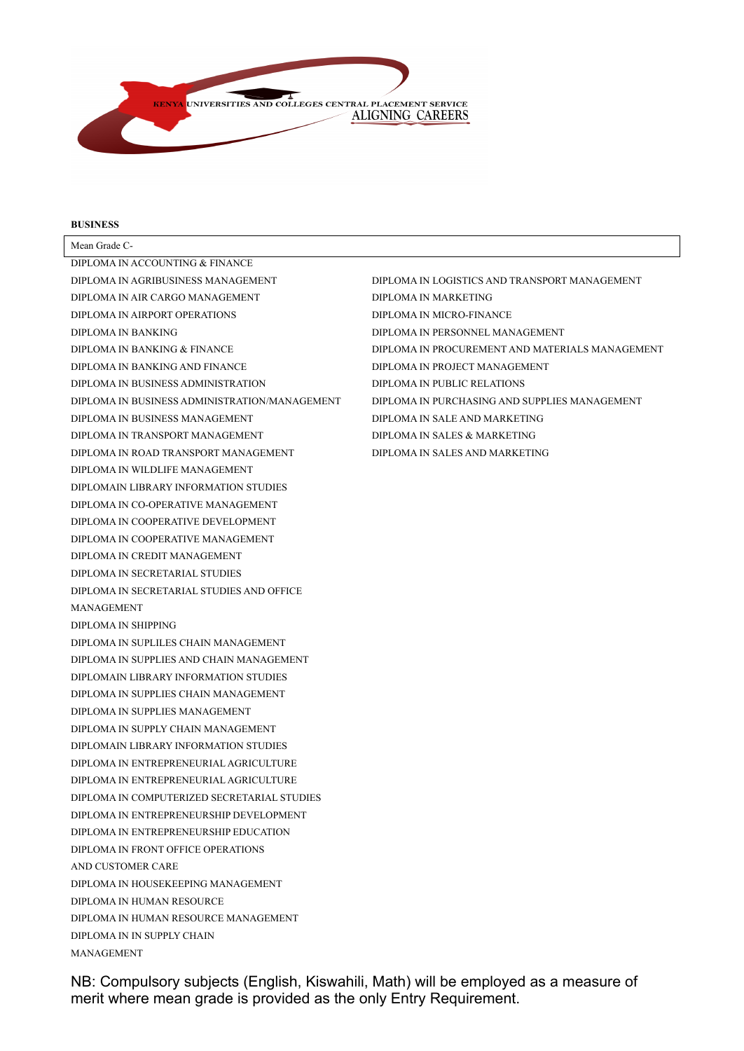

#### **BUSINESS**

Mean Grade C-DIPLOMA IN ACCOUNTING & FINANCE DIPLOMA IN AGRIBUSINESS MANAGEMENT DIPLOMA IN AIR CARGO MANAGEMENT DIPLOMA IN AIRPORT OPERATIONS DIPLOMA IN BANKING DIPLOMA IN BANKING & FINANCE DIPLOMA IN BANKING AND FINANCE DIPLOMA IN BUSINESS ADMINISTRATION DIPLOMA IN BUSINESS ADMINISTRATION/MANAGEMENT DIPLOMA IN BUSINESS MANAGEMENT DIPLOMA IN TRANSPORT MANAGEMENT DIPLOMA IN ROAD TRANSPORT MANAGEMENT DIPLOMA IN WILDLIFE MANAGEMENT DIPLOMAIN LIBRARY INFORMATION STUDIES DIPLOMA IN CO-OPERATIVE MANAGEMENT DIPLOMA IN COOPERATIVE DEVELOPMENT DIPLOMA IN COOPERATIVE MANAGEMENT DIPLOMA IN CREDIT MANAGEMENT DIPLOMA IN SECRETARIAL STUDIES DIPLOMA IN SECRETARIAL STUDIES AND OFFICE MANAGEMENT DIPLOMA IN SHIPPING DIPLOMA IN SUPLILES CHAIN MANAGEMENT DIPLOMA IN SUPPLIES AND CHAIN MANAGEMENT DIPLOMAIN LIBRARY INFORMATION STUDIES DIPLOMA IN SUPPLIES CHAIN MANAGEMENT DIPLOMA IN SUPPLIES MANAGEMENT DIPLOMA IN SUPPLY CHAIN MANAGEMENT DIPLOMAIN LIBRARY INFORMATION STUDIES DIPLOMA IN ENTREPRENEURIAL AGRICULTURE DIPLOMA IN ENTREPRENEURIAL AGRICULTURE DIPLOMA IN COMPUTERIZED SECRETARIAL STUDIES DIPLOMA IN ENTREPRENEURSHIP DEVELOPMENT DIPLOMA IN ENTREPRENEURSHIP EDUCATION DIPLOMA IN FRONT OFFICE OPERATIONS AND CUSTOMER CARE DIPLOMA IN HOUSEKEEPING MANAGEMENT DIPLOMA IN HUMAN RESOURCE DIPLOMA IN HUMAN RESOURCE MANAGEMENT DIPLOMA IN IN SUPPLY CHAIN MANAGEMENT

DIPLOMA IN LOGISTICS AND TRANSPORT MANAGEMENT DIPLOMA IN MARKETING DIPLOMA IN MICRO-FINANCE DIPLOMA IN PERSONNEL MANAGEMENT DIPLOMA IN PROCUREMENT AND MATERIALS MANAGEMENT DIPLOMA IN PROJECT MANAGEMENT DIPLOMA IN PUBLIC RELATIONS DIPLOMA IN PURCHASING AND SUPPLIES MANAGEMENT DIPLOMA IN SALE AND MARKETING DIPLOMA IN SALES & MARKETING DIPLOMA IN SALES AND MARKETING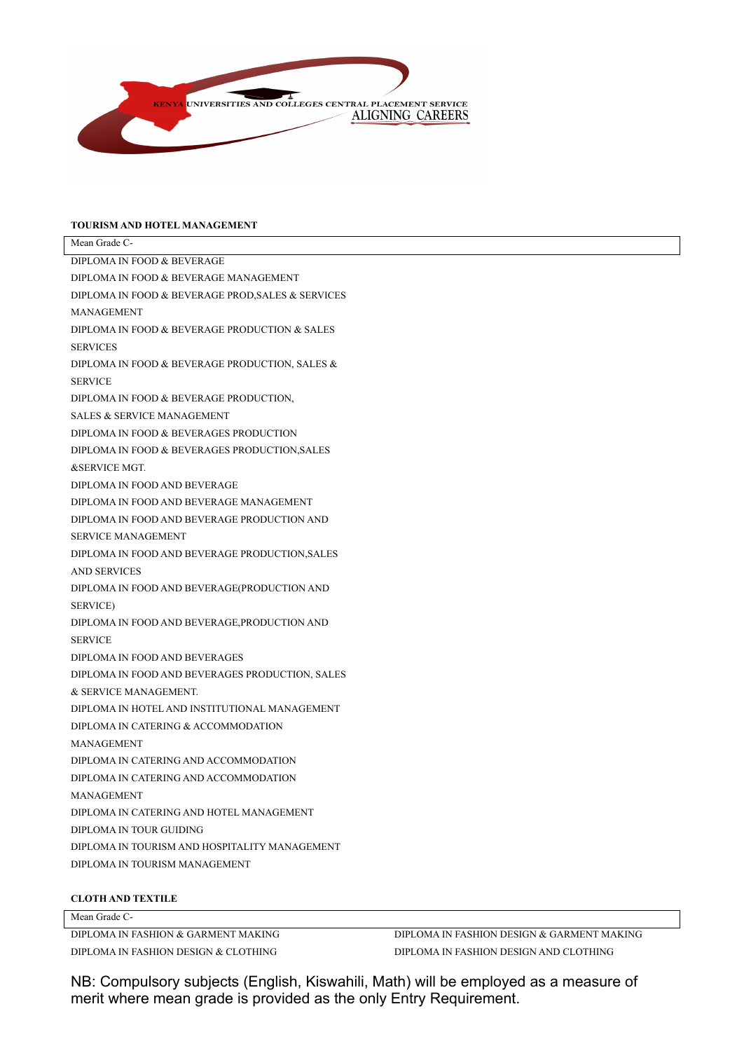

## **TOURISM AND HOTEL MANAGEMENT**

| Mean Grade C-                                     |
|---------------------------------------------------|
| DIPLOMA IN FOOD & BEVERAGE                        |
| DIPLOMA IN FOOD & BEVERAGE MANAGEMENT             |
| DIPLOMA IN FOOD & BEVERAGE PROD, SALES & SERVICES |
| <b>MANAGEMENT</b>                                 |
| DIPLOMA IN FOOD & BEVERAGE PRODUCTION & SALES     |
| <b>SERVICES</b>                                   |
| DIPLOMA IN FOOD & BEVERAGE PRODUCTION, SALES &    |
| <b>SERVICE</b>                                    |
| DIPLOMA IN FOOD & BEVERAGE PRODUCTION,            |
| <b>SALES &amp; SERVICE MANAGEMENT</b>             |
| DIPLOMA IN FOOD & BEVERAGES PRODUCTION            |
| DIPLOMA IN FOOD & BEVERAGES PRODUCTION, SALES     |
| <b>&amp;SERVICE MGT.</b>                          |
| DIPLOMA IN FOOD AND BEVERAGE                      |
| DIPLOMA IN FOOD AND BEVERAGE MANAGEMENT           |
| DIPLOMA IN FOOD AND BEVERAGE PRODUCTION AND       |
| <b>SERVICE MANAGEMENT</b>                         |
| DIPLOMA IN FOOD AND BEVERAGE PRODUCTION, SALES    |
| <b>AND SERVICES</b>                               |
| DIPLOMA IN FOOD AND BEVERAGE(PRODUCTION AND       |
| <b>SERVICE</b> )                                  |
| DIPLOMA IN FOOD AND BEVERAGE, PRODUCTION AND      |
| <b>SERVICE</b>                                    |
| DIPLOMA IN FOOD AND BEVERAGES                     |
| DIPLOMA IN FOOD AND BEVERAGES PRODUCTION, SALES   |
| & SERVICE MANAGEMENT.                             |
| DIPLOMA IN HOTEL AND INSTITUTIONAL MANAGEMENT     |
| DIPLOMA IN CATERING & ACCOMMODATION               |
| <b>MANAGEMENT</b>                                 |
| DIPLOMA IN CATERING AND ACCOMMODATION             |
| DIPLOMA IN CATERING AND ACCOMMODATION             |
| <b>MANAGEMENT</b>                                 |
| DIPLOMA IN CATERING AND HOTEL MANAGEMENT          |
| DIPLOMA IN TOUR GUIDING                           |
| DIPLOMA IN TOURISM AND HOSPITALITY MANAGEMENT     |
| DIPLOMA IN TOURISM MANAGEMENT                     |
|                                                   |

## **CLOTH AND TEXTILE**

## Mean Grade C-

DIPLOMA IN FASHION & GARMENT MAKING DIPLOMA IN FASHION DESIGN & CLOTHING

DIPLOMA IN FASHION DESIGN & GARMENT MAKING DIPLOMA IN FASHION DESIGN AND CLOTHING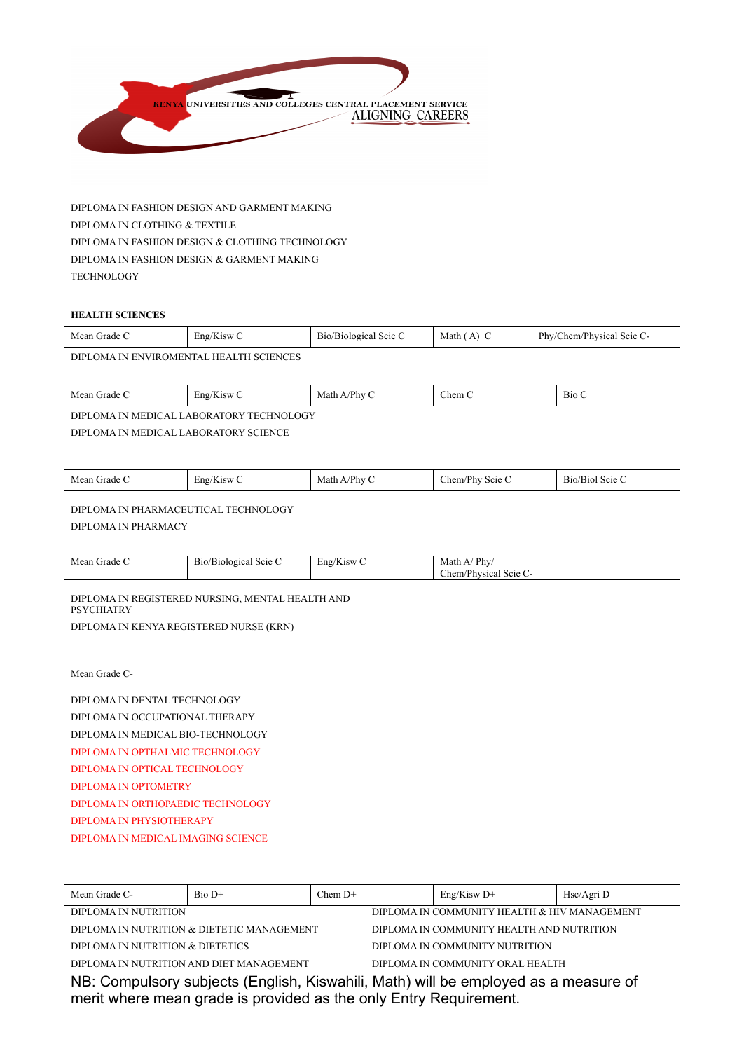

DIPLOMA IN FASHION DESIGN AND GARMENT MAKING DIPLOMA IN CLOTHING & TEXTILE DIPLOMA IN FASHION DESIGN & CLOTHING TECHNOLOGY DIPLOMA IN FASHION DESIGN & GARMENT MAKING **TECHNOLOGY** 

#### **HEALTH SCIENCES**

| Mean Grade C                                  | Eng/Kisw C | B <sub>10</sub> /B <sub>10</sub> logical Scie C | Math ( | Phy/Chem/Physical Scie C- |
|-----------------------------------------------|------------|-------------------------------------------------|--------|---------------------------|
| <b>DIDI OMA BURNIDOMENTAL HEALTH COIPMORE</b> |            |                                                 |        |                           |

DIPLOMA IN ENVIROMENTAL HEALTH SCIENCES

| Mean<br>Cirade C | $\mathbf{r}$<br>'Kisw<br>$\mathbb{E} \mathbb{D} \mathbb{P}^{\prime \nu}$ | $P$ <sub>by</sub><br>Math | Chem C | <b>The State</b><br><b>B</b> <sub>10</sub> C |
|------------------|--------------------------------------------------------------------------|---------------------------|--------|----------------------------------------------|
|                  |                                                                          |                           |        |                                              |

DIPLOMA IN MEDICAL LABORATORY TECHNOLOGY DIPLOMA IN MEDICAL LABORATORY SCIENCE

DIPLOMA IN PHARMACEUTICAL TECHNOLOGY

DIPLOMA IN PHARMACY

| --<br>$\mathbf{r}$                                                                                                   |  |
|----------------------------------------------------------------------------------------------------------------------|--|
| Phv/<br>Mean Grade C<br>Math A/<br>Eng/Kisw C<br>/Biological Scie C<br>B10/<br><b>START</b><br>Chem/Physical Scie C- |  |

DIPLOMA IN REGISTERED NURSING, MENTAL HEALTH AND PSYCHIATRY DIPLOMA IN KENYA REGISTERED NURSE (KRN)

| Mean Grade C-                      |
|------------------------------------|
| DIPLOMA IN DENTAL TECHNOLOGY       |
| DIPLOMA IN OCCUPATIONAL THERAPY    |
| DIPLOMA IN MEDICAL BIO-TECHNOLOGY  |
| DIPLOMA IN OPTHALMIC TECHNOLOGY    |
| DIPLOMA IN OPTICAL TECHNOLOGY      |
| DIPLOMA IN OPTOMETRY               |
| DIPLOMA IN ORTHOPAEDIC TECHNOLOGY  |
| DIPLOMA IN PHYSIOTHERAPY           |
| DIPLOMA IN MEDICAL IMAGING SCIENCE |
|                                    |

| Mean Grade C-                                                                                                                                            | $Bio D+$ | $ChemD+$ | $Eng/K$ isw D+                               | Hsc/Agri D |  |
|----------------------------------------------------------------------------------------------------------------------------------------------------------|----------|----------|----------------------------------------------|------------|--|
| DIPLOMA IN NUTRITION                                                                                                                                     |          |          | DIPLOMA IN COMMUNITY HEALTH & HIV MANAGEMENT |            |  |
| DIPLOMA IN NUTRITION & DIETETIC MANAGEMENT<br>DIPLOMA IN COMMUNITY HEALTH AND NUTRITION                                                                  |          |          |                                              |            |  |
| DIPLOMA IN NUTRITION & DIETETICS<br>DIPLOMA IN COMMUNITY NUTRITION                                                                                       |          |          |                                              |            |  |
| DIPLOMA IN NUTRITION AND DIET MANAGEMENT<br>DIPLOMA IN COMMUNITY ORAL HEALTH                                                                             |          |          |                                              |            |  |
| NB: Compulsory subjects (English, Kiswahili, Math) will be employed as a measure of<br>merit where mean grade is provided as the only Entry Requirement. |          |          |                                              |            |  |
|                                                                                                                                                          |          |          |                                              |            |  |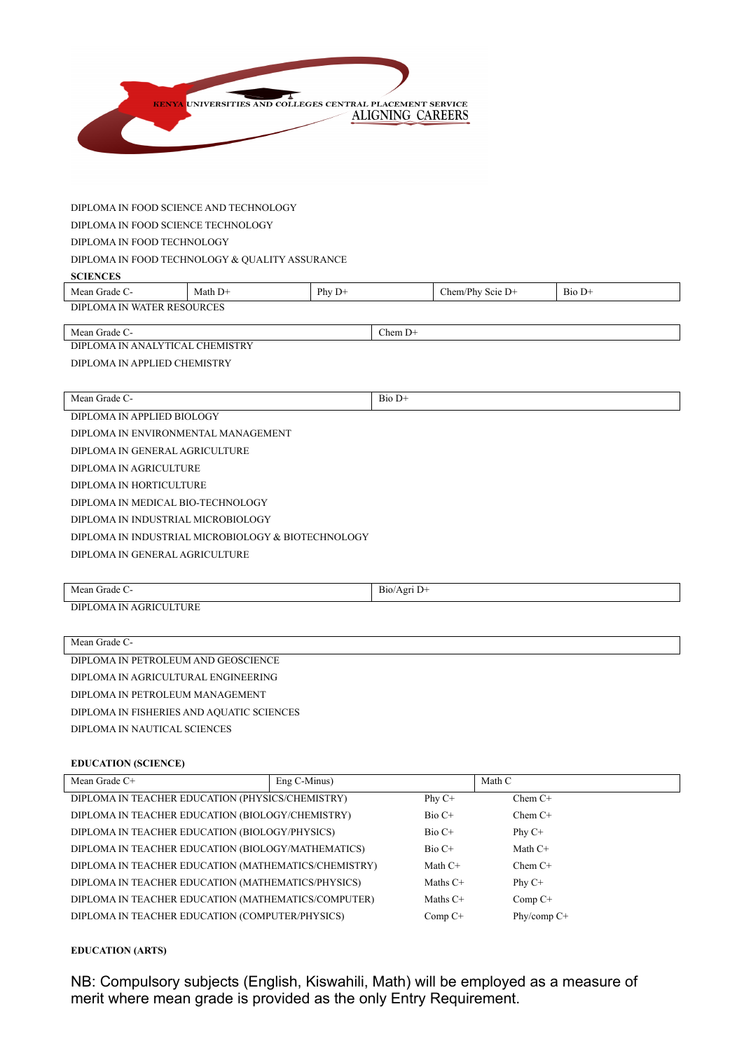

#### DIPLOMA IN FOOD SCIENCE AND TECHNOLOGY

DIPLOMA IN FOOD SCIENCE TECHNOLOGY

## DIPLOMA IN FOOD TECHNOLOGY

### DIPLOMA IN FOOD TECHNOLOGY & QUALITY ASSURANCE

#### **SCIENCES**

| Mean Grade                                                                   | Math D+ | Phy<br>$D^+$ | m/Phy<br>Scie $D+$<br>hem | $\sim$<br>$B_{10}$<br>. D+ |  |
|------------------------------------------------------------------------------|---------|--------------|---------------------------|----------------------------|--|
| <b>OURCES</b><br><b>DIPI</b><br>TER RESC<br>$\mathbf{V}$<br>. I NI<br>J. DMA |         |              |                           |                            |  |

Mean Grade C- Chem D+

DIPLOMA IN ANALYTICAL CHEMISTRY DIPLOMA IN APPLIED CHEMISTRY

Mean Grade C- Bio D+

DIPLOMA IN APPLIED BIOLOGY DIPLOMA IN ENVIRONMENTAL MANAGEMENT DIPLOMA IN GENERAL AGRICULTURE DIPLOMA IN AGRICULTURE DIPLOMA IN HORTICULTURE DIPLOMA IN MEDICAL BIO-TECHNOLOGY DIPLOMA IN INDUSTRIAL MICROBIOLOGY DIPLOMA IN INDUSTRIAL MICROBIOLOGY & BIOTECHNOLOGY DIPLOMA IN GENERAL AGRICULTURE

| Mean Grade C-          | Bio/Agri D+ |
|------------------------|-------------|
| DIPLOMA IN AGRICULTURE |             |

| Mean Grade C-                             |
|-------------------------------------------|
| DIPLOMA IN PETROLEUM AND GEOSCIENCE       |
| DIPLOMA IN AGRICULTURAL ENGINEERING       |
| DIPLOMA IN PETROLEUM MANAGEMENT           |
| DIPLOMA IN FISHERIES AND AQUATIC SCIENCES |
| DIPLOMA IN NAUTICAL SCIENCES              |
|                                           |

#### **EDUCATION (SCIENCE)**

| Mean Grade C+                                        | $Eng C-Minus)$ |            | Math C      |
|------------------------------------------------------|----------------|------------|-------------|
| DIPLOMA IN TEACHER EDUCATION (PHYSICS/CHEMISTRY)     |                | Phy $C^+$  | $ChemC+$    |
| DIPLOMA IN TEACHER EDUCATION (BIOLOGY/CHEMISTRY)     |                | $Bio C+$   | $Chem C+$   |
| DIPLOMA IN TEACHER EDUCATION (BIOLOGY/PHYSICS)       |                | $Bio C+$   | Phy $C+$    |
| DIPLOMA IN TEACHER EDUCATION (BIOLOGY/MATHEMATICS)   |                | $Bio C+$   | Math $C+$   |
| DIPLOMA IN TEACHER EDUCATION (MATHEMATICS/CHEMISTRY) |                | Math $C+$  | $Chem C+$   |
| DIPLOMA IN TEACHER EDUCATION (MATHEMATICS/PHYSICS)   |                | Maths $C+$ | Phy $C+$    |
| DIPLOMA IN TEACHER EDUCATION (MATHEMATICS/COMPUTER)  |                | Maths $C+$ | $Comp C+$   |
| DIPLOMA IN TEACHER EDUCATION (COMPUTER/PHYSICS)      |                | Comp C+    | Phy/comp C+ |

## **EDUCATION (ARTS)**